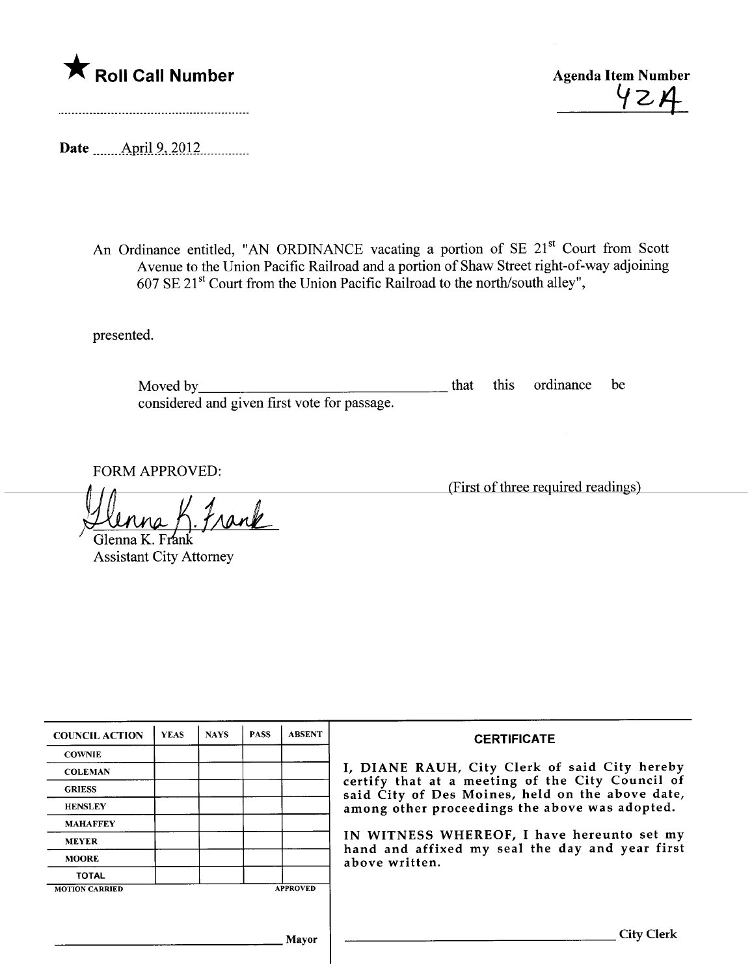

42A

Date <u>April 9, 2012</u>

An Ordinance entitled, "AN ORDINANCE vacating a portion of SE 21<sup>st</sup> Court from Scott Avenue to the Union Pacific Railroad and a portion of Shaw Street right-of-way adjoining 607 SE 21 st Court from the Union Pacific Railroad to the north/south alley",

presented.

Moved by considered and given first vote for passage. that this ordinance be

FORM APPROVED:

Frank

Glenna K. Frank Assistant City Attorney

| <b>COUNCIL ACTION</b> | <b>YEAS</b> | <b>NAYS</b> | <b>PASS</b>                                                                                          | <b>ABSENT</b>     | <b>CERTIFICATE</b>                                                                                              |
|-----------------------|-------------|-------------|------------------------------------------------------------------------------------------------------|-------------------|-----------------------------------------------------------------------------------------------------------------|
| <b>COWNIE</b>         |             |             |                                                                                                      |                   |                                                                                                                 |
| <b>COLEMAN</b>        |             |             |                                                                                                      |                   | I, DIANE RAUH, City Clerk of said City hereby                                                                   |
| <b>GRIESS</b>         |             |             | certify that at a meeting of the City Council of<br>said City of Des Moines, held on the above date, |                   |                                                                                                                 |
| <b>HENSLEY</b>        |             |             |                                                                                                      |                   | among other proceedings the above was adopted.                                                                  |
| <b>MAHAFFEY</b>       |             |             |                                                                                                      |                   |                                                                                                                 |
| <b>MEYER</b>          |             |             |                                                                                                      |                   | IN WITNESS WHEREOF, I have hereunto set my<br>hand and affixed my seal the day and year first<br>above written. |
| <b>MOORE</b>          |             |             |                                                                                                      |                   |                                                                                                                 |
| <b>TOTAL</b>          |             |             |                                                                                                      |                   |                                                                                                                 |
| <b>MOTION CARRIED</b> |             |             |                                                                                                      | <b>APPROVED</b>   |                                                                                                                 |
|                       |             |             |                                                                                                      |                   |                                                                                                                 |
|                       |             |             |                                                                                                      |                   |                                                                                                                 |
|                       |             | Mayor       |                                                                                                      | <b>City Clerk</b> |                                                                                                                 |

(First of three required readings)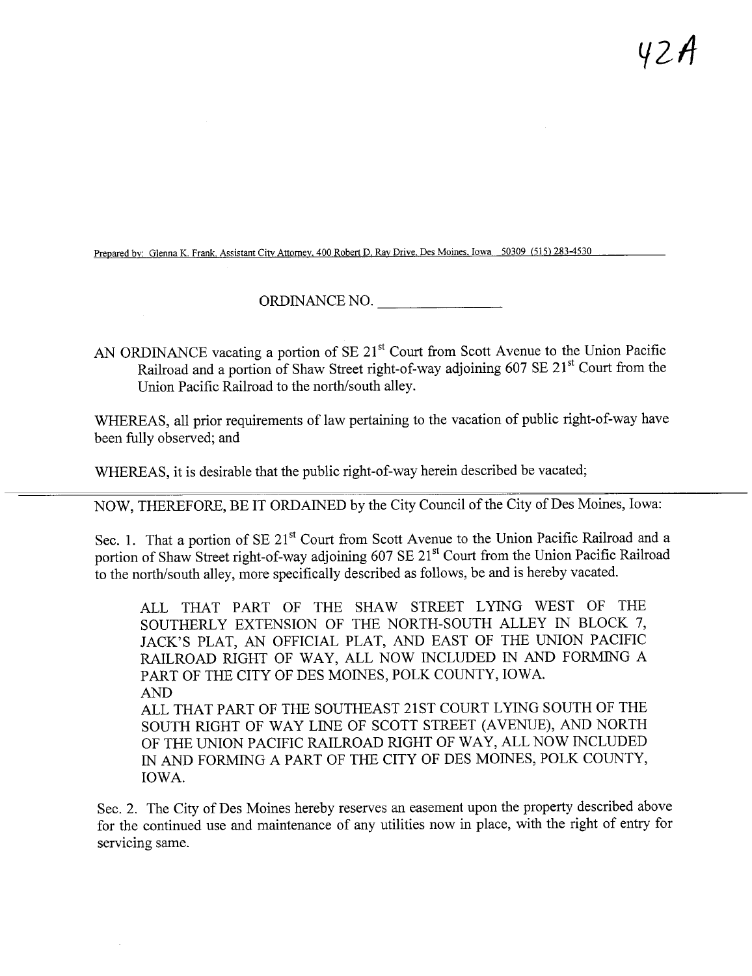Prepared by: Glenna K. Frank, Assistant City Attorney, 400 Robert D. Ray Drive, Des Moines. Iowa 50309 (515) 283-4530

ORDINANCE NO.

AN ORDINANCE vacating a portion of SE 21<sup>st</sup> Court from Scott Avenue to the Union Pacific Railroad and a portion of Shaw Street right-of-way adjoining 607 SE 21<sup>st</sup> Court from the Union Pacific Railroad to the north/south alley.

WHEREAS, all prior requirements of law pertaining to the vacation of public right-of-way have been fully observed; and

WHEREAS, it is desirable that the public right-of-way herein described be vacated;

NOW, THEREFORE, BE IT ORDAINED by the City Council of the City of Des Moines, Iowa:

Sec. 1. That a portion of SE 21<sup>st</sup> Court from Scott Avenue to the Union Pacific Railroad and a portion of Shaw Street right-of-way adjoining 607 SE 21<sup>st</sup> Court from the Union Pacific Railroad to the north/south alley, more specifically described as follows, be and is hereby vacated.

ALL THAT PART OF THE SHAW STREET LYING WEST OF THE SOUTHERLY EXTENSION OF THE NORTH-SOUTH ALLEY IN BLOCK 7, JACK'S PLAT, AN OFFICIAL PLAT, AND EAST OF THE UNION PACIFIC RAILROAD RIGHT OF WAY, ALL NOW INCLUDED IN AND FORMING A PART OF THE CITY OF DES MOINES, POLK COUNTY, IOWA. AND ALL THAT PART OF THE SOUTHEAST 21ST COURT LYING SOUTH OF THE SOUTH RIGHT OF WAY LINE OF SCOTT STREET (AVENUE), AND NORTH OF THE UNION PACIFIC RAILROAD RIGHT OF WAY, ALL NOW INCLUDED IN AND FORMING A PART OF THE CITY OF DES MOINES, POLK COUNTY, IOWA.

Sec. 2. The City of Des Moines hereby reserves an easement upon the property described above for the continued use and maintenance of any utilities now in place, with the right of entry for servicing same.